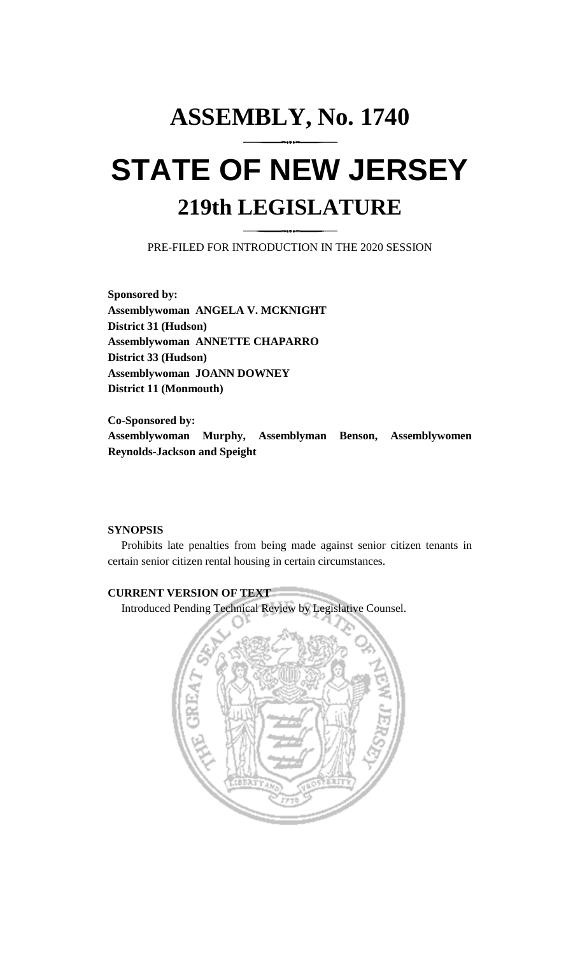# **ASSEMBLY, No. 1740 STATE OF NEW JERSEY 219th LEGISLATURE**

PRE-FILED FOR INTRODUCTION IN THE 2020 SESSION

**Sponsored by: Assemblywoman ANGELA V. MCKNIGHT District 31 (Hudson) Assemblywoman ANNETTE CHAPARRO District 33 (Hudson) Assemblywoman JOANN DOWNEY District 11 (Monmouth)**

**Co-Sponsored by: Assemblywoman Murphy, Assemblyman Benson, Assemblywomen Reynolds-Jackson and Speight**

## **SYNOPSIS**

Prohibits late penalties from being made against senior citizen tenants in certain senior citizen rental housing in certain circumstances.

## **CURRENT VERSION OF TEXT**

Introduced Pending Technical Review by Legislative Counsel.

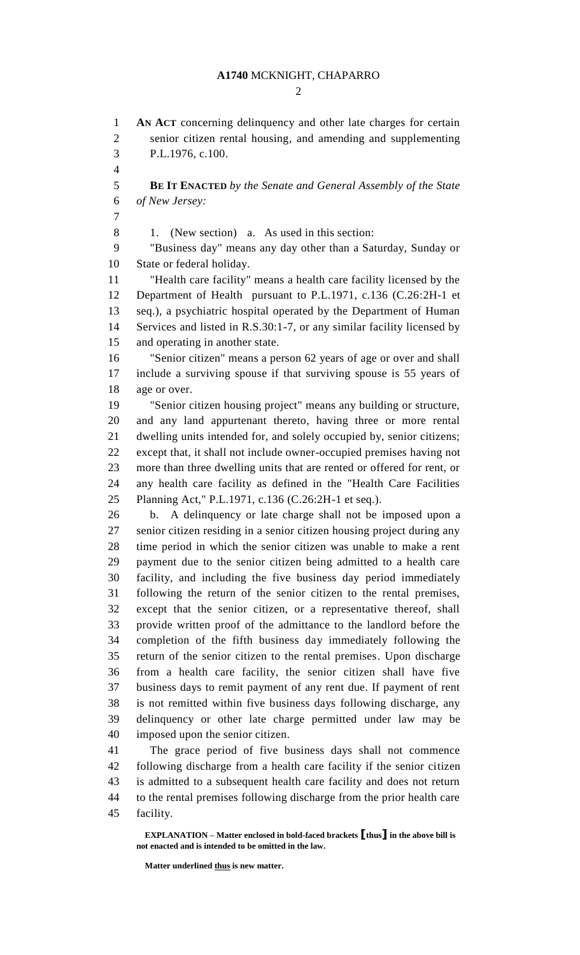### **A1740** MCKNIGHT, CHAPARRO

 $\mathcal{D}_{\mathcal{L}}$ 

 **AN ACT** concerning delinquency and other late charges for certain senior citizen rental housing, and amending and supplementing P.L.1976, c.100. **BE IT ENACTED** *by the Senate and General Assembly of the State* 

*of New Jersey:*

1. (New section) a. As used in this section:

 "Business day" means any day other than a Saturday, Sunday or State or federal holiday.

 "Health care facility" means a health care facility licensed by the Department of Health pursuant to P.L.1971, c.136 (C.26:2H-1 et seq.), a psychiatric hospital operated by the Department of Human Services and listed in R.S.30:1-7, or any similar facility licensed by and operating in another state.

 "Senior citizen" means a person 62 years of age or over and shall include a surviving spouse if that surviving spouse is 55 years of age or over.

 "Senior citizen housing project" means any building or structure, and any land appurtenant thereto, having three or more rental dwelling units intended for, and solely occupied by, senior citizens; except that, it shall not include owner-occupied premises having not more than three dwelling units that are rented or offered for rent, or any health care facility as defined in the "Health Care Facilities Planning Act," P.L.1971, c.136 (C.26:2H-1 et seq.).

 b. A delinquency or late charge shall not be imposed upon a senior citizen residing in a senior citizen housing project during any time period in which the senior citizen was unable to make a rent payment due to the senior citizen being admitted to a health care facility, and including the five business day period immediately following the return of the senior citizen to the rental premises, except that the senior citizen, or a representative thereof, shall provide written proof of the admittance to the landlord before the completion of the fifth business day immediately following the return of the senior citizen to the rental premises. Upon discharge from a health care facility, the senior citizen shall have five business days to remit payment of any rent due. If payment of rent is not remitted within five business days following discharge, any delinquency or other late charge permitted under law may be imposed upon the senior citizen.

 The grace period of five business days shall not commence following discharge from a health care facility if the senior citizen is admitted to a subsequent health care facility and does not return to the rental premises following discharge from the prior health care facility.

**EXPLANATION – Matter enclosed in bold-faced brackets [thus] in the above bill is not enacted and is intended to be omitted in the law.**

**Matter underlined thus is new matter.**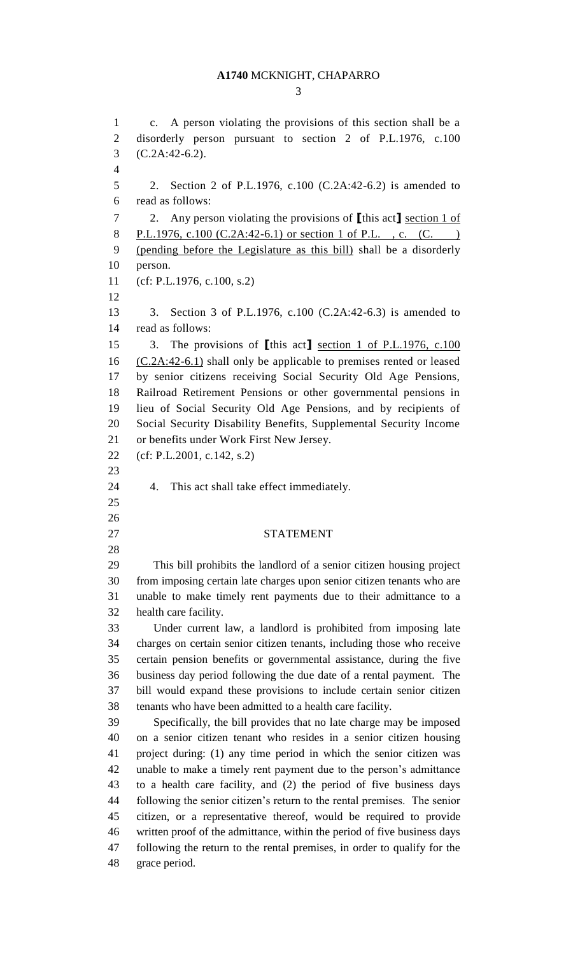#### **A1740** MCKNIGHT, CHAPARRO

 c. A person violating the provisions of this section shall be a disorderly person pursuant to section 2 of P.L.1976, c.100 (C.2A:42-6.2). 2. Section 2 of P.L.1976, c.100 (C.2A:42-6.2) is amended to read as follows: 2. Any person violating the provisions of **[**this act**]** section 1 of 8 P.L.1976, c.100 (C.2A:42-6.1) or section 1 of P.L., c. (C. (pending before the Legislature as this bill) shall be a disorderly person. (cf: P.L.1976, c.100, s.2) 3. Section 3 of P.L.1976, c.100 (C.2A:42-6.3) is amended to read as follows: 3. The provisions of **[**this act**]** section 1 of P.L.1976, c.100 16 (C.2A:42-6.1) shall only be applicable to premises rented or leased by senior citizens receiving Social Security Old Age Pensions, Railroad Retirement Pensions or other governmental pensions in lieu of Social Security Old Age Pensions, and by recipients of Social Security Disability Benefits, Supplemental Security Income or benefits under Work First New Jersey. (cf: P.L.2001, c.142, s.2) 4. This act shall take effect immediately. STATEMENT This bill prohibits the landlord of a senior citizen housing project from imposing certain late charges upon senior citizen tenants who are unable to make timely rent payments due to their admittance to a health care facility. Under current law, a landlord is prohibited from imposing late charges on certain senior citizen tenants, including those who receive certain pension benefits or governmental assistance, during the five business day period following the due date of a rental payment. The bill would expand these provisions to include certain senior citizen tenants who have been admitted to a health care facility. Specifically, the bill provides that no late charge may be imposed on a senior citizen tenant who resides in a senior citizen housing project during: (1) any time period in which the senior citizen was unable to make a timely rent payment due to the person's admittance to a health care facility, and (2) the period of five business days following the senior citizen's return to the rental premises. The senior citizen, or a representative thereof, would be required to provide written proof of the admittance, within the period of five business days following the return to the rental premises, in order to qualify for the grace period.